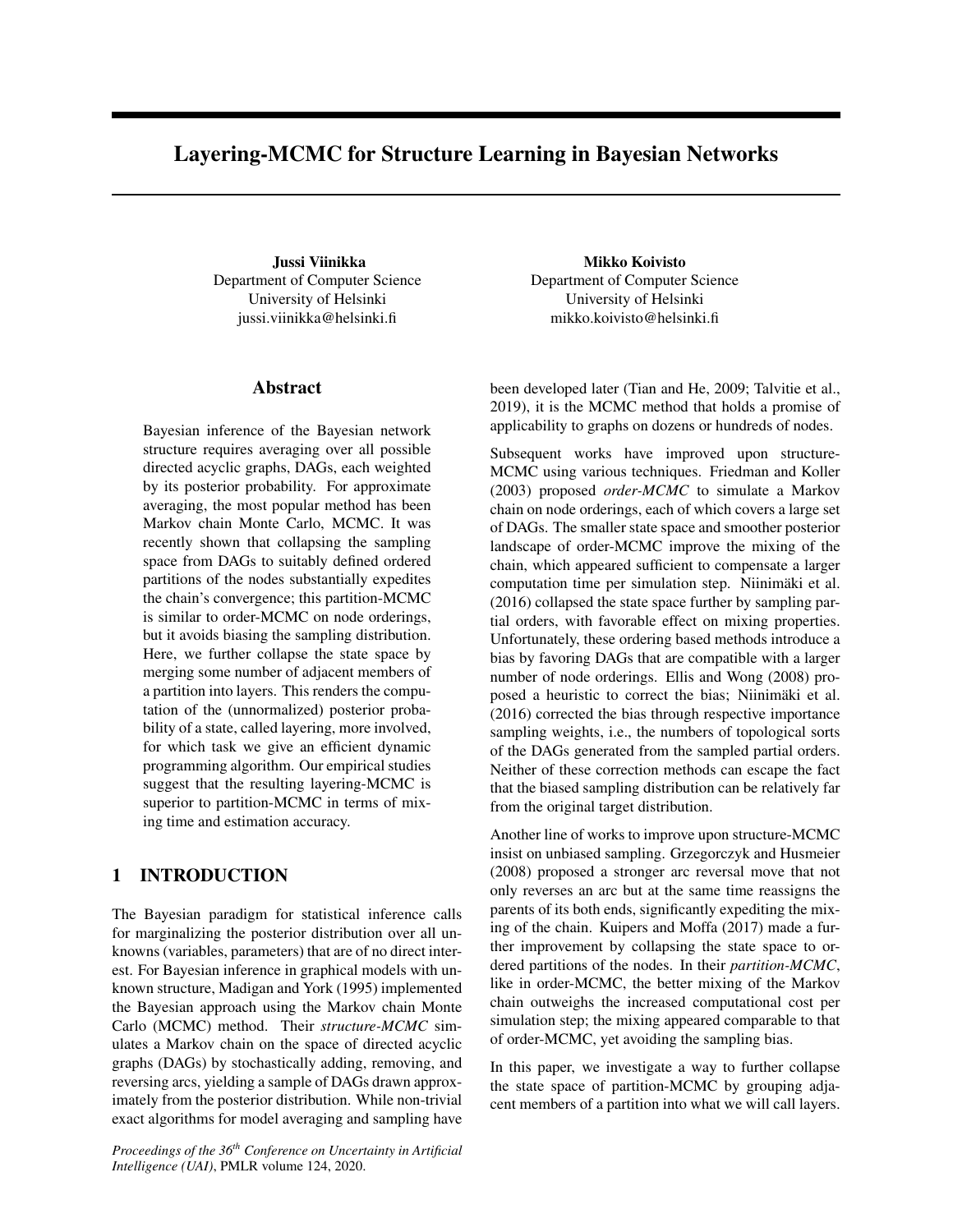# Layering-MCMC for Structure Learning in Bayesian Networks

Jussi Viinikka Department of Computer Science University of Helsinki jussi.viinikka@helsinki.fi

# Abstract

Bayesian inference of the Bayesian network structure requires averaging over all possible directed acyclic graphs, DAGs, each weighted by its posterior probability. For approximate averaging, the most popular method has been Markov chain Monte Carlo, MCMC. It was recently shown that collapsing the sampling space from DAGs to suitably defined ordered partitions of the nodes substantially expedites the chain's convergence; this partition-MCMC is similar to order-MCMC on node orderings, but it avoids biasing the sampling distribution. Here, we further collapse the state space by merging some number of adjacent members of a partition into layers. This renders the computation of the (unnormalized) posterior probability of a state, called layering, more involved, for which task we give an efficient dynamic programming algorithm. Our empirical studies suggest that the resulting layering-MCMC is superior to partition-MCMC in terms of mixing time and estimation accuracy.

# 1 INTRODUCTION

The Bayesian paradigm for statistical inference calls for marginalizing the posterior distribution over all unknowns (variables, parameters) that are of no direct interest. For Bayesian inference in graphical models with unknown structure, Madigan and York (1995) implemented the Bayesian approach using the Markov chain Monte Carlo (MCMC) method. Their *structure-MCMC* simulates a Markov chain on the space of directed acyclic graphs (DAGs) by stochastically adding, removing, and reversing arcs, yielding a sample of DAGs drawn approximately from the posterior distribution. While non-trivial exact algorithms for model averaging and sampling have

*Proceedings of the 36th Conference on Uncertainty in Artificial Intelligence (UAI)*, PMLR volume 124, 2020.

Mikko Koivisto Department of Computer Science University of Helsinki mikko.koivisto@helsinki.fi

been developed later (Tian and He, 2009; Talvitie et al., 2019), it is the MCMC method that holds a promise of applicability to graphs on dozens or hundreds of nodes.

Subsequent works have improved upon structure-MCMC using various techniques. Friedman and Koller (2003) proposed *order-MCMC* to simulate a Markov chain on node orderings, each of which covers a large set of DAGs. The smaller state space and smoother posterior landscape of order-MCMC improve the mixing of the chain, which appeared sufficient to compensate a larger computation time per simulation step. Niinimäki et al. (2016) collapsed the state space further by sampling partial orders, with favorable effect on mixing properties. Unfortunately, these ordering based methods introduce a bias by favoring DAGs that are compatible with a larger number of node orderings. Ellis and Wong (2008) proposed a heuristic to correct the bias; Niinimäki et al. (2016) corrected the bias through respective importance sampling weights, i.e., the numbers of topological sorts of the DAGs generated from the sampled partial orders. Neither of these correction methods can escape the fact that the biased sampling distribution can be relatively far from the original target distribution.

Another line of works to improve upon structure-MCMC insist on unbiased sampling. Grzegorczyk and Husmeier (2008) proposed a stronger arc reversal move that not only reverses an arc but at the same time reassigns the parents of its both ends, significantly expediting the mixing of the chain. Kuipers and Moffa (2017) made a further improvement by collapsing the state space to ordered partitions of the nodes. In their *partition-MCMC*, like in order-MCMC, the better mixing of the Markov chain outweighs the increased computational cost per simulation step; the mixing appeared comparable to that of order-MCMC, yet avoiding the sampling bias.

In this paper, we investigate a way to further collapse the state space of partition-MCMC by grouping adjacent members of a partition into what we will call layers.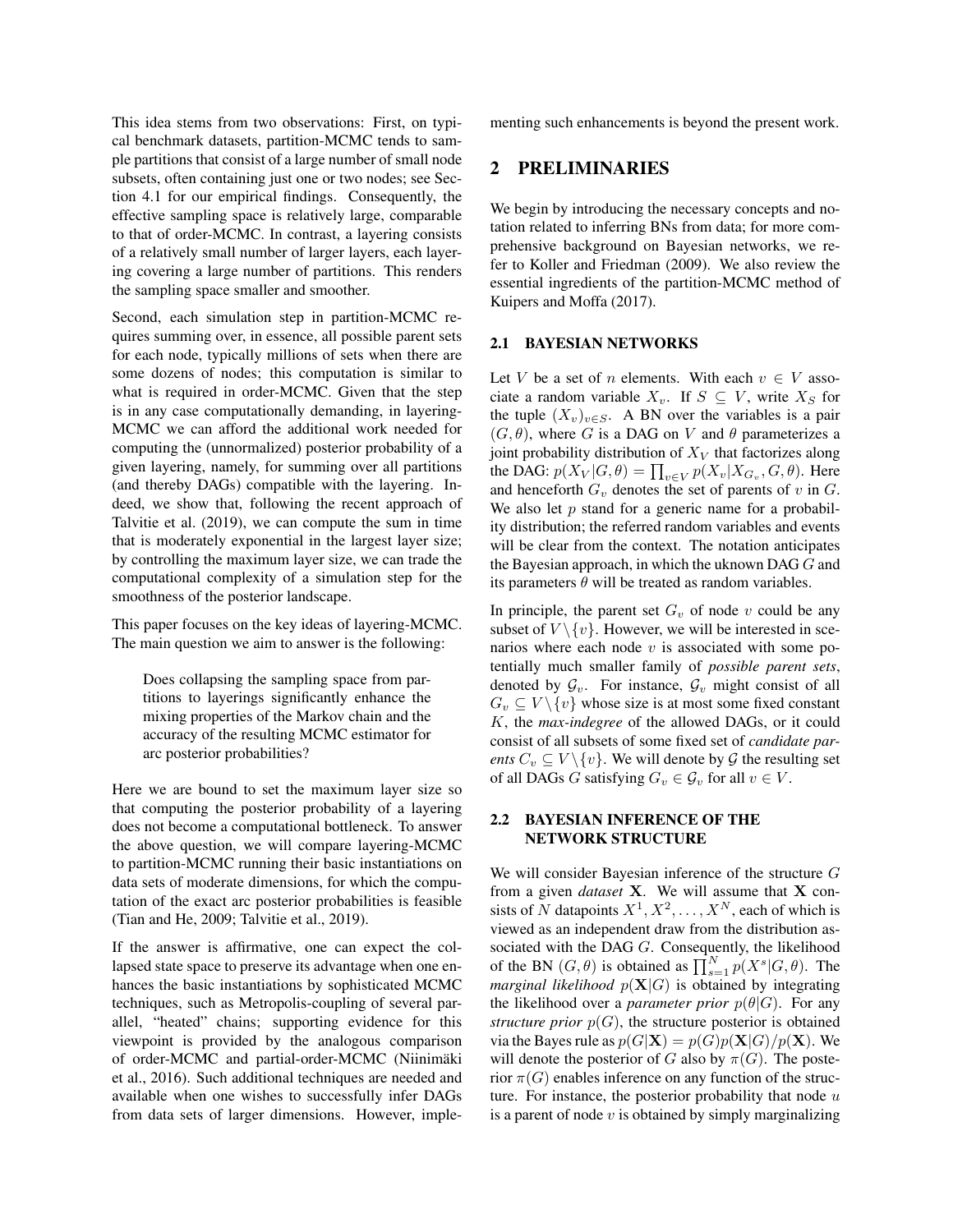This idea stems from two observations: First, on typical benchmark datasets, partition-MCMC tends to sample partitions that consist of a large number of small node subsets, often containing just one or two nodes; see Section 4.1 for our empirical findings. Consequently, the effective sampling space is relatively large, comparable to that of order-MCMC. In contrast, a layering consists of a relatively small number of larger layers, each layering covering a large number of partitions. This renders the sampling space smaller and smoother.

Second, each simulation step in partition-MCMC requires summing over, in essence, all possible parent sets for each node, typically millions of sets when there are some dozens of nodes; this computation is similar to what is required in order-MCMC. Given that the step is in any case computationally demanding, in layering-MCMC we can afford the additional work needed for computing the (unnormalized) posterior probability of a given layering, namely, for summing over all partitions (and thereby DAGs) compatible with the layering. Indeed, we show that, following the recent approach of Talvitie et al. (2019), we can compute the sum in time that is moderately exponential in the largest layer size; by controlling the maximum layer size, we can trade the computational complexity of a simulation step for the smoothness of the posterior landscape.

This paper focuses on the key ideas of layering-MCMC. The main question we aim to answer is the following:

Does collapsing the sampling space from partitions to layerings significantly enhance the mixing properties of the Markov chain and the accuracy of the resulting MCMC estimator for arc posterior probabilities?

Here we are bound to set the maximum layer size so that computing the posterior probability of a layering does not become a computational bottleneck. To answer the above question, we will compare layering-MCMC to partition-MCMC running their basic instantiations on data sets of moderate dimensions, for which the computation of the exact arc posterior probabilities is feasible (Tian and He, 2009; Talvitie et al., 2019).

If the answer is affirmative, one can expect the collapsed state space to preserve its advantage when one enhances the basic instantiations by sophisticated MCMC techniques, such as Metropolis-coupling of several parallel, "heated" chains; supporting evidence for this viewpoint is provided by the analogous comparison of order-MCMC and partial-order-MCMC (Niinimaki ¨ et al., 2016). Such additional techniques are needed and available when one wishes to successfully infer DAGs from data sets of larger dimensions. However, implementing such enhancements is beyond the present work.

# 2 PRELIMINARIES

We begin by introducing the necessary concepts and notation related to inferring BNs from data; for more comprehensive background on Bayesian networks, we refer to Koller and Friedman (2009). We also review the essential ingredients of the partition-MCMC method of Kuipers and Moffa (2017).

#### 2.1 BAYESIAN NETWORKS

Let V be a set of n elements. With each  $v \in V$  associate a random variable  $X_v$ . If  $S \subseteq V$ , write  $X_S$  for the tuple  $(X_v)_{v \in S}$ . A BN over the variables is a pair  $(G, \theta)$ , where G is a DAG on V and  $\theta$  parameterizes a joint probability distribution of  $X_V$  that factorizes along the DAG:  $p(X_V|G, \theta) = \prod_{v \in V} p(X_v|X_{G_v}, G, \theta)$ . Here and henceforth  $G_v$  denotes the set of parents of v in  $G$ . We also let  $p$  stand for a generic name for a probability distribution; the referred random variables and events will be clear from the context. The notation anticipates the Bayesian approach, in which the uknown DAG  $G$  and its parameters  $\theta$  will be treated as random variables.

In principle, the parent set  $G_v$  of node v could be any subset of  $V \setminus \{v\}$ . However, we will be interested in scenarios where each node  $v$  is associated with some potentially much smaller family of *possible parent sets*, denoted by  $\mathcal{G}_v$ . For instance,  $\mathcal{G}_v$  might consist of all  $G_v \subseteq V \setminus \{v\}$  whose size is at most some fixed constant K, the *max-indegree* of the allowed DAGs, or it could consist of all subsets of some fixed set of *candidate parents*  $C_v \subseteq V \setminus \{v\}$ . We will denote by  $\mathcal G$  the resulting set of all DAGs G satisfying  $G_v \in \mathcal{G}_v$  for all  $v \in V$ .

#### 2.2 BAYESIAN INFERENCE OF THE NETWORK STRUCTURE

We will consider Bayesian inference of the structure G from a given *dataset* X. We will assume that X consists of N datapoints  $X^1, X^2, \ldots, X^N$ , each of which is viewed as an independent draw from the distribution associated with the DAG G. Consequently, the likelihood of the BN  $(G, \theta)$  is obtained as  $\prod_{s=1}^{N} p(X^s | G, \theta)$ . The *marginal likelihood*  $p(X|G)$  is obtained by integrating the likelihood over a *parameter prior*  $p(\theta|G)$ . For any *structure prior*  $p(G)$ , the structure posterior is obtained via the Bayes rule as  $p(G|\mathbf{X}) = p(G)p(\mathbf{X}|G)/p(\mathbf{X})$ . We will denote the posterior of G also by  $\pi(G)$ . The posterior  $\pi(G)$  enables inference on any function of the structure. For instance, the posterior probability that node  $u$ is a parent of node  $v$  is obtained by simply marginalizing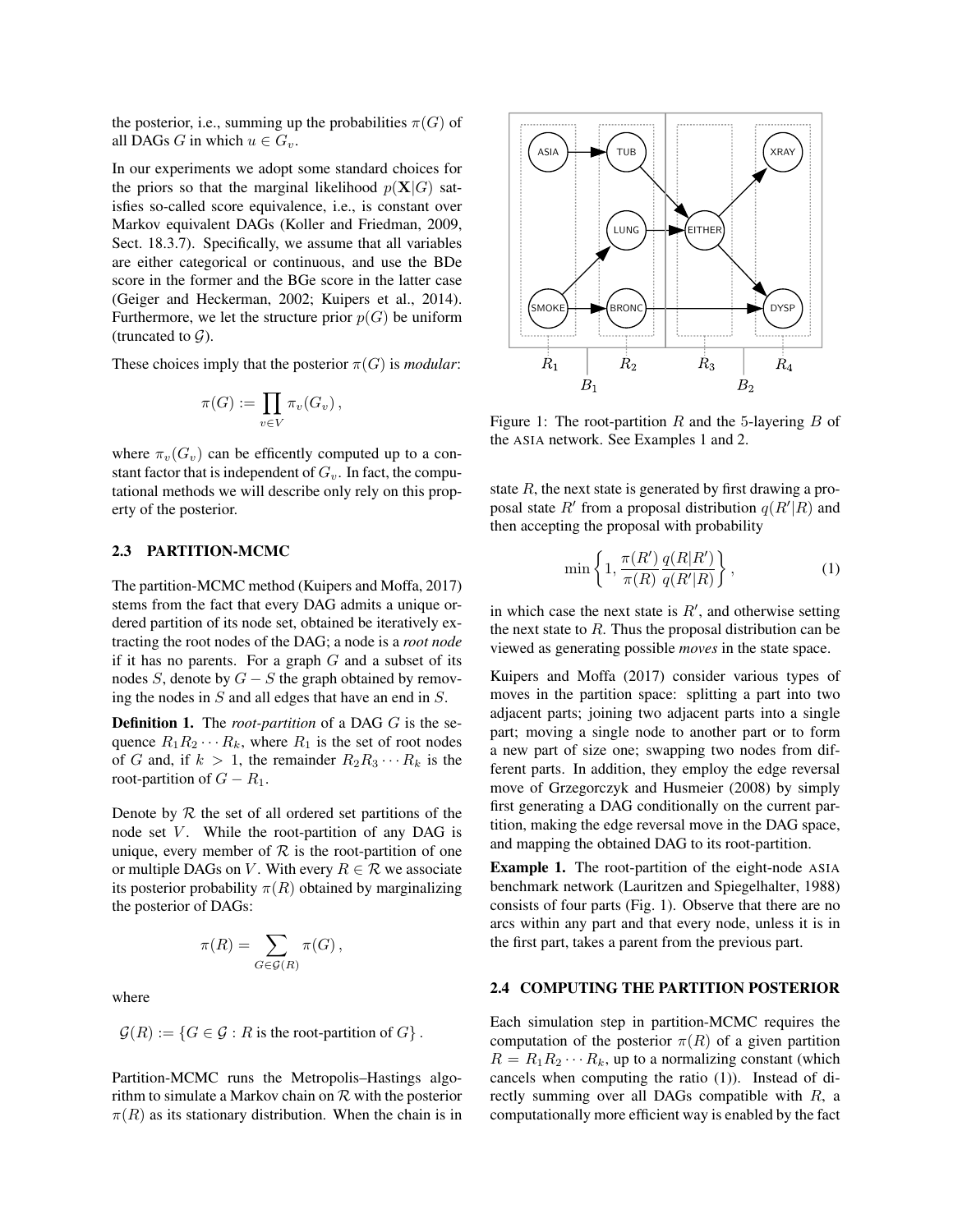the posterior, i.e., summing up the probabilities  $\pi(G)$  of all DAGs G in which  $u \in G_v$ .

In our experiments we adopt some standard choices for the priors so that the marginal likelihood  $p(X|G)$  satisfies so-called score equivalence, i.e., is constant over Markov equivalent DAGs (Koller and Friedman, 2009, Sect. 18.3.7). Specifically, we assume that all variables are either categorical or continuous, and use the BDe score in the former and the BGe score in the latter case (Geiger and Heckerman, 2002; Kuipers et al., 2014). Furthermore, we let the structure prior  $p(G)$  be uniform (truncated to  $\mathcal{G}$ ).

These choices imply that the posterior  $\pi(G)$  is *modular*:

$$
\pi(G) := \prod_{v \in V} \pi_v(G_v),
$$

where  $\pi_v(G_v)$  can be efficently computed up to a constant factor that is independent of  $G_v$ . In fact, the computational methods we will describe only rely on this property of the posterior.

#### 2.3 PARTITION-MCMC

The partition-MCMC method (Kuipers and Moffa, 2017) stems from the fact that every DAG admits a unique ordered partition of its node set, obtained be iteratively extracting the root nodes of the DAG; a node is a *root node* if it has no parents. For a graph  $G$  and a subset of its nodes S, denote by  $G - S$  the graph obtained by removing the nodes in S and all edges that have an end in S.

Definition 1. The *root-partition* of a DAG G is the sequence  $R_1R_2 \cdots R_k$ , where  $R_1$  is the set of root nodes of G and, if  $k > 1$ , the remainder  $R_2R_3 \cdots R_k$  is the root-partition of  $G - R_1$ .

Denote by  $R$  the set of all ordered set partitions of the node set  $V$ . While the root-partition of any DAG is unique, every member of  $R$  is the root-partition of one or multiple DAGs on V. With every  $R \in \mathcal{R}$  we associate its posterior probability  $\pi(R)$  obtained by marginalizing the posterior of DAGs:

$$
\pi(R) = \sum_{G \in \mathcal{G}(R)} \pi(G),
$$

where

$$
\mathcal{G}(R) := \{ G \in \mathcal{G} : R \text{ is the root-partition of } G \}.
$$

Partition-MCMC runs the Metropolis–Hastings algorithm to simulate a Markov chain on  $R$  with the posterior  $\pi(R)$  as its stationary distribution. When the chain is in



Figure 1: The root-partition R and the 5-layering B of the ASIA network. See Examples 1 and 2.

state  $R$ , the next state is generated by first drawing a proposal state  $R'$  from a proposal distribution  $q(R'|R)$  and then accepting the proposal with probability

$$
\min\left\{1, \frac{\pi(R')}{\pi(R)} \frac{q(R|R')}{q(R'|R)}\right\},\tag{1}
$$

in which case the next state is  $R'$ , and otherwise setting the next state to  $R$ . Thus the proposal distribution can be viewed as generating possible *moves* in the state space.

Kuipers and Moffa (2017) consider various types of moves in the partition space: splitting a part into two adjacent parts; joining two adjacent parts into a single part; moving a single node to another part or to form a new part of size one; swapping two nodes from different parts. In addition, they employ the edge reversal move of Grzegorczyk and Husmeier (2008) by simply first generating a DAG conditionally on the current partition, making the edge reversal move in the DAG space, and mapping the obtained DAG to its root-partition.

Example 1. The root-partition of the eight-node ASIA benchmark network (Lauritzen and Spiegelhalter, 1988) consists of four parts (Fig. 1). Observe that there are no arcs within any part and that every node, unless it is in the first part, takes a parent from the previous part.

### 2.4 COMPUTING THE PARTITION POSTERIOR

Each simulation step in partition-MCMC requires the computation of the posterior  $\pi(R)$  of a given partition  $R = R_1 R_2 \cdots R_k$ , up to a normalizing constant (which cancels when computing the ratio (1)). Instead of directly summing over all DAGs compatible with R, a computationally more efficient way is enabled by the fact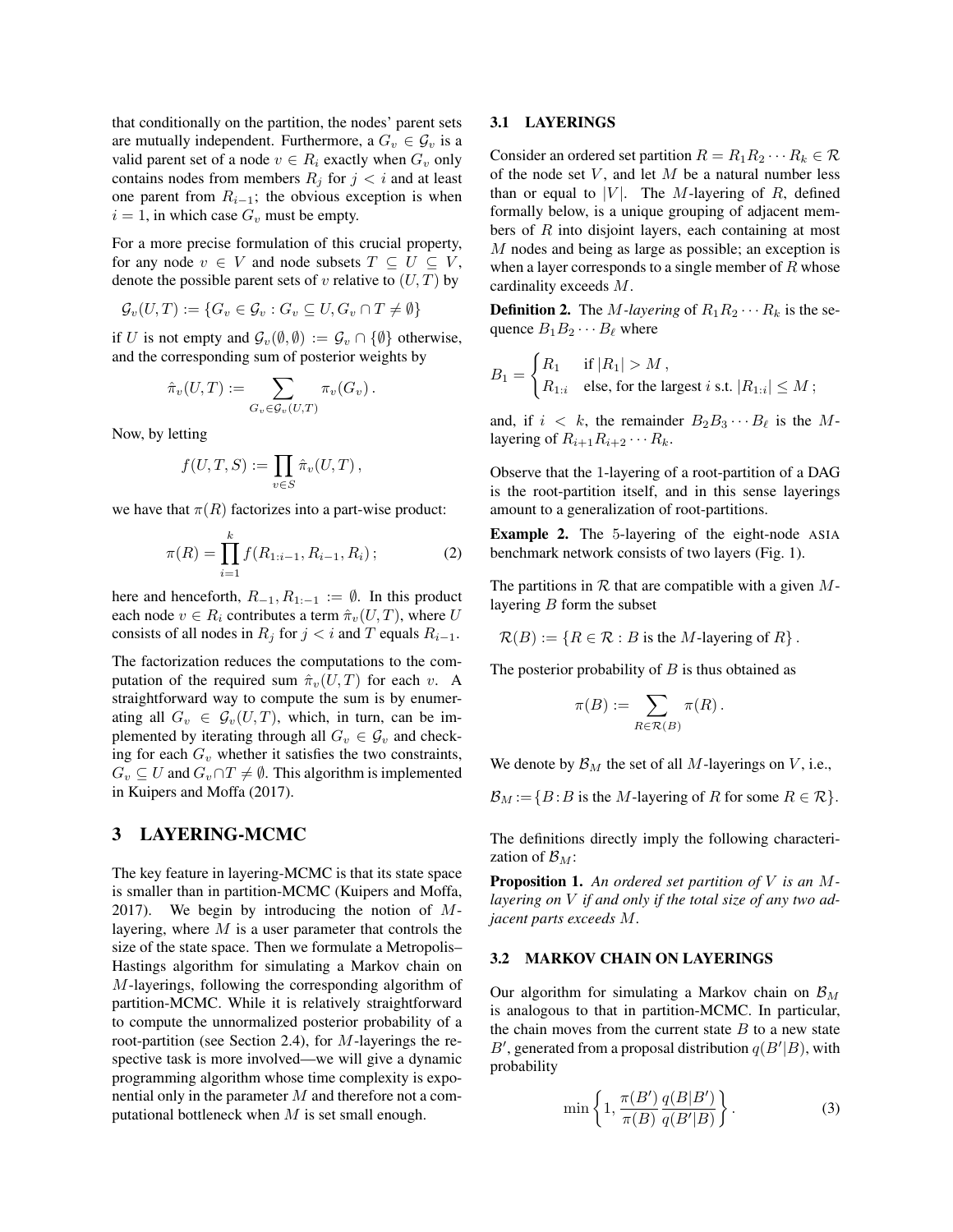that conditionally on the partition, the nodes' parent sets are mutually independent. Furthermore, a  $G_v \in \mathcal{G}_v$  is a valid parent set of a node  $v \in R_i$  exactly when  $G_v$  only contains nodes from members  $R_j$  for  $j < i$  and at least one parent from  $R_{i-1}$ ; the obvious exception is when  $i = 1$ , in which case  $G_v$  must be empty.

For a more precise formulation of this crucial property, for any node  $v \in V$  and node subsets  $T \subseteq U \subseteq V$ , denote the possible parent sets of v relative to  $(U, T)$  by

$$
\mathcal{G}_{v}(U,T) := \{ G_v \in \mathcal{G}_v : G_v \subseteq U, G_v \cap T \neq \emptyset \}
$$

if U is not empty and  $\mathcal{G}_{v}(\emptyset, \emptyset) := \mathcal{G}_{v} \cap \{\emptyset\}$  otherwise, and the corresponding sum of posterior weights by

$$
\hat{\pi}_v(U,T) := \sum_{G_v \in \mathcal{G}_v(U,T)} \pi_v(G_v).
$$

Now, by letting

$$
f(U,T,S) := \prod_{v \in S} \hat{\pi}_v(U,T),
$$

we have that  $\pi(R)$  factorizes into a part-wise product:

$$
\pi(R) = \prod_{i=1}^{k} f(R_{1:i-1}, R_{i-1}, R_i); \tag{2}
$$

here and henceforth,  $R_{-1}, R_{1:-1} := \emptyset$ . In this product each node  $v \in R_i$  contributes a term  $\hat{\pi}_v(U, T)$ , where U consists of all nodes in  $R_j$  for  $j < i$  and T equals  $R_{i-1}$ .

The factorization reduces the computations to the computation of the required sum  $\hat{\pi}_v(U, T)$  for each v. A straightforward way to compute the sum is by enumerating all  $G_v \in \mathcal{G}_v(U,T)$ , which, in turn, can be implemented by iterating through all  $G_v \in \mathcal{G}_v$  and checking for each  $G_v$  whether it satisfies the two constraints,  $G_v \subseteq U$  and  $G_v \cap T \neq \emptyset$ . This algorithm is implemented in Kuipers and Moffa (2017).

## 3 LAYERING-MCMC

The key feature in layering-MCMC is that its state space is smaller than in partition-MCMC (Kuipers and Moffa, 2017). We begin by introducing the notion of  $M$ layering, where  $M$  is a user parameter that controls the size of the state space. Then we formulate a Metropolis– Hastings algorithm for simulating a Markov chain on M-layerings, following the corresponding algorithm of partition-MCMC. While it is relatively straightforward to compute the unnormalized posterior probability of a root-partition (see Section 2.4), for M-layerings the respective task is more involved—we will give a dynamic programming algorithm whose time complexity is exponential only in the parameter  $M$  and therefore not a computational bottleneck when  $M$  is set small enough.

#### 3.1 LAYERINGS

Consider an ordered set partition  $R = R_1 R_2 \cdots R_k \in \mathcal{R}$ of the node set  $V$ , and let  $M$  be a natural number less than or equal to |V|. The M-layering of R, defined formally below, is a unique grouping of adjacent members of  $R$  into disjoint layers, each containing at most M nodes and being as large as possible; an exception is when a layer corresponds to a single member of  $R$  whose cardinality exceeds M.

**Definition 2.** The M-layering of  $R_1R_2 \cdots R_k$  is the sequence  $B_1B_2 \cdots B_\ell$  where

$$
B_1 = \begin{cases} R_1 & \text{if } |R_1| > M \,, \\ R_{1:i} & \text{else, for the largest } i \text{ s.t. } |R_{1:i}| \le M \,, \end{cases}
$$

and, if  $i < k$ , the remainder  $B_2 B_3 \cdots B_\ell$  is the Mlayering of  $R_{i+1}R_{i+2}\cdots R_k$ .

Observe that the 1-layering of a root-partition of a DAG is the root-partition itself, and in this sense layerings amount to a generalization of root-partitions.

Example 2. The 5-layering of the eight-node ASIA benchmark network consists of two layers (Fig. 1).

The partitions in  $R$  that are compatible with a given  $M$ layering  $B$  form the subset

 $\mathcal{R}(B) := \{ R \in \mathcal{R} : B \text{ is the } M \text{-layering of } R \}.$ 

The posterior probability of  $B$  is thus obtained as

$$
\pi(B) := \sum_{R \in \mathcal{R}(B)} \pi(R) .
$$

We denote by  $\mathcal{B}_M$  the set of all M-layerings on V, i.e.,

 $\mathcal{B}_M := \{ B : B$  is the M-layering of R for some  $R \in \mathcal{R} \}.$ 

The definitions directly imply the following characterization of  $\mathcal{B}_M$ :

Proposition 1. *An ordered set partition of* V *is an* M*layering on* V *if and only if the total size of any two adjacent parts exceeds* M*.*

#### 3.2 MARKOV CHAIN ON LAYERINGS

Our algorithm for simulating a Markov chain on  $\mathcal{B}_M$ is analogous to that in partition-MCMC. In particular, the chain moves from the current state  $B$  to a new state B', generated from a proposal distribution  $q(B'|B)$ , with probability

$$
\min\left\{1, \frac{\pi(B')}{\pi(B)} \frac{q(B|B')}{q(B'|B)}\right\}.
$$
\n(3)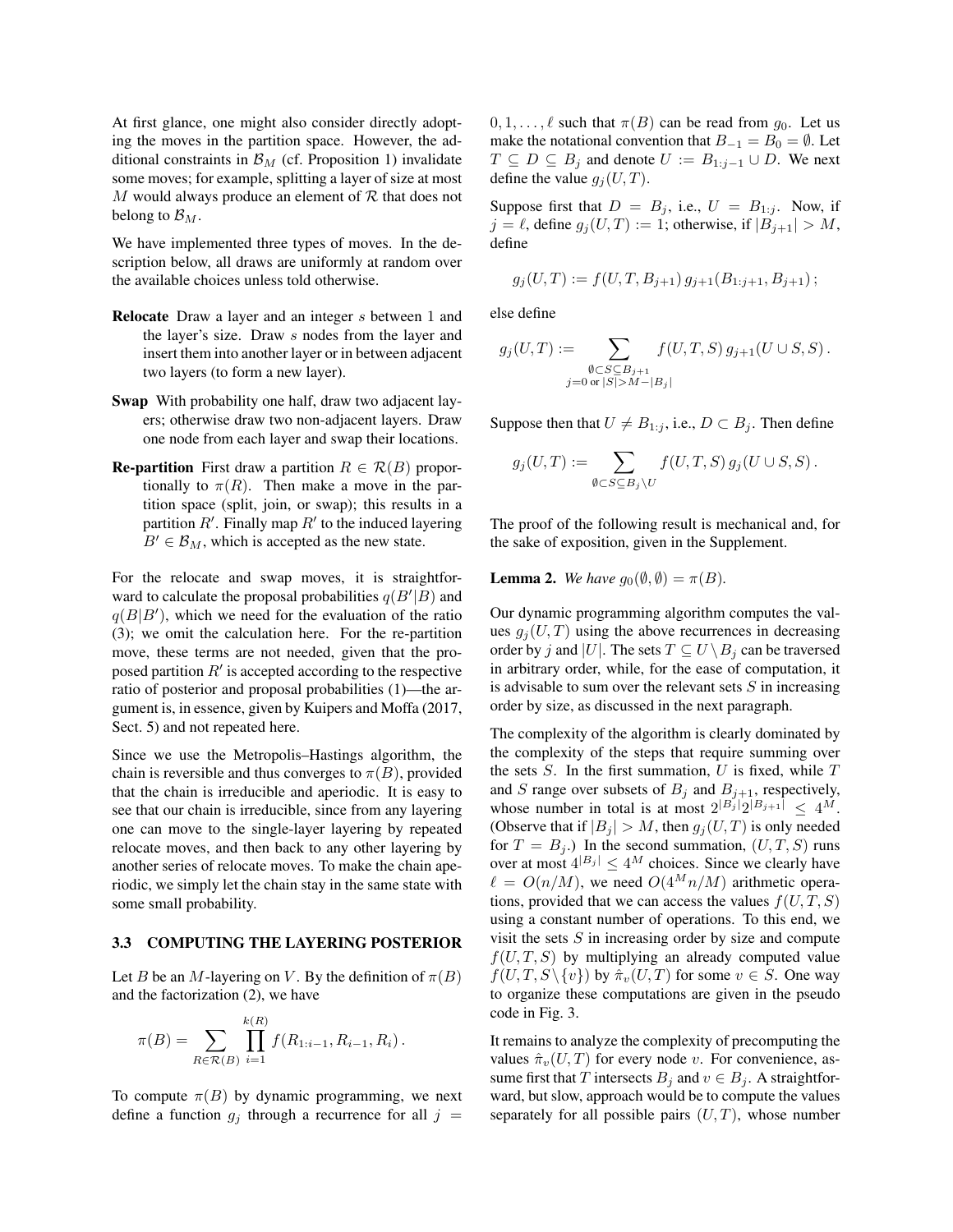At first glance, one might also consider directly adopting the moves in the partition space. However, the additional constraints in  $\mathcal{B}_M$  (cf. Proposition 1) invalidate some moves; for example, splitting a layer of size at most  $M$  would always produce an element of  $R$  that does not belong to  $\mathcal{B}_M$ .

We have implemented three types of moves. In the description below, all draws are uniformly at random over the available choices unless told otherwise.

- Relocate Draw a layer and an integer s between 1 and the layer's size. Draw s nodes from the layer and insert them into another layer or in between adjacent two layers (to form a new layer).
- Swap With probability one half, draw two adjacent layers; otherwise draw two non-adjacent layers. Draw one node from each layer and swap their locations.
- **Re-partition** First draw a partition  $R \in \mathcal{R}(B)$  proportionally to  $\pi(R)$ . Then make a move in the partition space (split, join, or swap); this results in a partition  $R'$ . Finally map  $R'$  to the induced layering  $B' \in \mathcal{B}_M$ , which is accepted as the new state.

For the relocate and swap moves, it is straightforward to calculate the proposal probabilities  $q(B'|B)$  and  $q(B|B')$ , which we need for the evaluation of the ratio (3); we omit the calculation here. For the re-partition move, these terms are not needed, given that the proposed partition  $R'$  is accepted according to the respective ratio of posterior and proposal probabilities (1)—the argument is, in essence, given by Kuipers and Moffa (2017, Sect. 5) and not repeated here.

Since we use the Metropolis–Hastings algorithm, the chain is reversible and thus converges to  $\pi(B)$ , provided that the chain is irreducible and aperiodic. It is easy to see that our chain is irreducible, since from any layering one can move to the single-layer layering by repeated relocate moves, and then back to any other layering by another series of relocate moves. To make the chain aperiodic, we simply let the chain stay in the same state with some small probability.

#### 3.3 COMPUTING THE LAYERING POSTERIOR

Let B be an M-layering on V. By the definition of  $\pi(B)$ and the factorization (2), we have

$$
\pi(B) = \sum_{R \in \mathcal{R}(B)} \prod_{i=1}^{k(R)} f(R_{1:i-1}, R_{i-1}, R_i).
$$

To compute  $\pi(B)$  by dynamic programming, we next define a function  $g_j$  through a recurrence for all  $j =$   $0, 1, \ldots, \ell$  such that  $\pi(B)$  can be read from  $g_0$ . Let us make the notational convention that  $B_{-1} = B_0 = \emptyset$ . Let  $T \subseteq D \subseteq B_j$  and denote  $U := B_{1:j-1} \cup D$ . We next define the value  $g_j(U, T)$ .

Suppose first that  $D = B_j$ , i.e.,  $U = B_{1:j}$ . Now, if  $j = \ell$ , define  $g_j(U, T) := 1$ ; otherwise, if  $|B_{j+1}| > M$ , define

$$
g_j(U,T) := f(U,T,B_{j+1}) g_{j+1}(B_{1:j+1},B_{j+1}) ;
$$

else define

$$
g_j(U,T) := \sum_{\substack{\emptyset \subset S \subseteq B_{j+1} \\ j=0 \text{ or } |S| > M - |B_j|}} f(U,T,S) g_{j+1}(U \cup S, S).
$$

Suppose then that  $U \neq B_{1:j}$ , i.e.,  $D \subset B_j$ . Then define

$$
g_j(U,T) := \sum_{\emptyset \subset S \subseteq B_j \backslash U} f(U,T,S) g_j(U \cup S, S) .
$$

The proof of the following result is mechanical and, for the sake of exposition, given in the Supplement.

**Lemma 2.** *We have*  $g_0(\emptyset, \emptyset) = \pi(B)$ *.* 

Our dynamic programming algorithm computes the values  $g_i(U, T)$  using the above recurrences in decreasing order by j and |U|. The sets  $T \subseteq U \setminus B_i$  can be traversed in arbitrary order, while, for the ease of computation, it is advisable to sum over the relevant sets  $S$  in increasing order by size, as discussed in the next paragraph.

The complexity of the algorithm is clearly dominated by the complexity of the steps that require summing over the sets  $S$ . In the first summation,  $U$  is fixed, while  $T$ and S range over subsets of  $B_j$  and  $B_{j+1}$ , respectively, whose number in total is at most  $2^{|B_j|} 2^{|B_{j+1}|} \leq 4^M$ . (Observe that if  $|B_j| > M$ , then  $g_j(U, T)$  is only needed for  $T = B_j$ .) In the second summation,  $(U, T, S)$  runs over at most  $4^{|B_j|} \le 4^M$  choices. Since we clearly have  $\ell = O(n/M)$ , we need  $O(4^M n/M)$  arithmetic operations, provided that we can access the values  $f(U, T, S)$ using a constant number of operations. To this end, we visit the sets  $S$  in increasing order by size and compute  $f(U, T, S)$  by multiplying an already computed value  $f(U, T, S \setminus \{v\})$  by  $\hat{\pi}_v(U, T)$  for some  $v \in S$ . One way to organize these computations are given in the pseudo code in Fig. 3.

It remains to analyze the complexity of precomputing the values  $\hat{\pi}_v(U, T)$  for every node v. For convenience, assume first that T intersects  $B_j$  and  $v \in B_j$ . A straightforward, but slow, approach would be to compute the values separately for all possible pairs  $(U, T)$ , whose number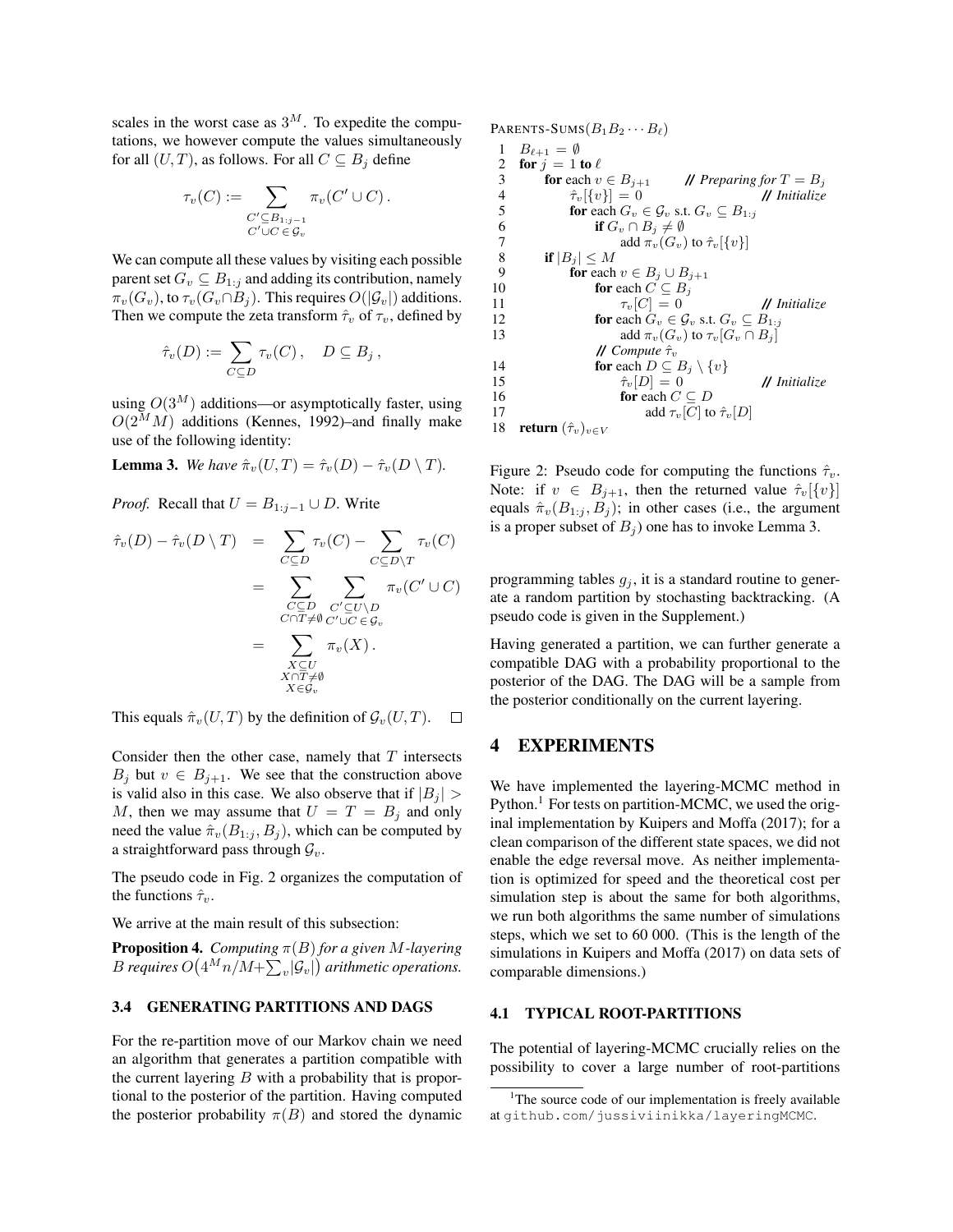scales in the worst case as  $3^M$ . To expedite the computations, we however compute the values simultaneously for all  $(U, T)$ , as follows. For all  $C \subseteq B_i$  define

$$
\tau_v(C) := \sum_{\substack{C' \subseteq B_{1:j-1} \\ C' \cup C \in \mathcal{G}_v}} \pi_v(C' \cup C).
$$

We can compute all these values by visiting each possible parent set  $G_v \subseteq B_{1:j}$  and adding its contribution, namely  $\pi_v(G_v)$ , to  $\tau_v(G_v \cap B_i)$ . This requires  $O(|\mathcal{G}_v|)$  additions. Then we compute the zeta transform  $\hat{\tau}_v$  of  $\tau_v$ , defined by

$$
\hat{\tau}_v(D) := \sum_{C \subseteq D} \tau_v(C) \,, \quad D \subseteq B_j \,,
$$

using  $O(3^M)$  additions—or asymptotically faster, using  $O(2^M M)$  additions (Kennes, 1992)–and finally make use of the following identity:

**Lemma 3.** *We have*  $\hat{\pi}_v(U,T) = \hat{\tau}_v(D) - \hat{\tau}_v(D \setminus T)$ .

*Proof.* Recall that  $U = B_{1:j-1} \cup D$ . Write

$$
\hat{\tau}_v(D) - \hat{\tau}_v(D \setminus T) = \sum_{C \subseteq D} \tau_v(C) - \sum_{C \subseteq D \setminus T} \tau_v(C)
$$
\n
$$
= \sum_{\substack{C \subseteq D \\ C \cap T \neq \emptyset}} \sum_{\substack{C' \subseteq U \setminus D \\ C' \cup C \in \mathcal{G}_v}} \pi_v(C' \cup C)
$$
\n
$$
= \sum_{\substack{X \subseteq U \\ X \cap T \neq \emptyset \\ X \in \mathcal{G}_v}} \pi_v(X).
$$

This equals  $\hat{\pi}_{v}(U, T)$  by the definition of  $\mathcal{G}_{v}(U, T)$ .  $\Box$ 

Consider then the other case, namely that  $T$  intersects  $B_j$  but  $v \in B_{j+1}$ . We see that the construction above is valid also in this case. We also observe that if  $|B_j|$  > M, then we may assume that  $U = T = B_i$  and only need the value  $\hat{\pi}_v(B_{1:i}, B_i)$ , which can be computed by a straightforward pass through  $\mathcal{G}_v$ .

The pseudo code in Fig. 2 organizes the computation of the functions  $\hat{\tau}_v$ .

We arrive at the main result of this subsection:

Proposition 4. *Computing* π(B) *for a given* M*-layering*  $B$  requires  $O\big(4^Mn/M+\sum_v\lvert \mathcal{G}_v\rvert\big)$  arithmetic operations.

### 3.4 GENERATING PARTITIONS AND DAGS

For the re-partition move of our Markov chain we need an algorithm that generates a partition compatible with the current layering  $B$  with a probability that is proportional to the posterior of the partition. Having computed the posterior probability  $\pi(B)$  and stored the dynamic PARENTS-SUMS $(B_1B_2\cdots B_\ell)$ 

```
1 B_{\ell+1} = \emptyset2 for j = 1 to \ell3 for each v \in B_{j+1} // Preparing for T = B_j4 \hat{\tau}_v[\{v\}] = 0 // Initialize
 5 for each G_v \in \mathcal{G}_v s.t. G_v \subseteq B_{1:j}6 if G_v \cap B_j \neq \emptyset<br>7 add \pi_v(G_v)add \pi_v(G_v) to \hat{\tau}_v[\{v\}]8 if |B_j| \leq M<br>9 for each
              for each v \in B_j \cup B_{j+1}10 for each C \subseteq B_j11 \tau_v[C] = 0 // Initialize
12 for each G_v \in \mathcal{G}_v s.t. G_v \subseteq B_{1:j}13 add \pi_v(G_v) to \tau_v[G_v \cap B_j]// Compute τˆv
14 for each D \subseteq B_j \setminus \{v\}15 \hat{\tau}_v[D] = 0 // Initialize
16 for each C \subseteq D<br>17 add \tau<sub>n</sub>[C] to
17 add \tau_v[C] to \hat{\tau}_v[D]<br>18 return (\hat{\tau}_v)_{v \in V}return (\hat{\tau}_v)_{v\in V}
```
Figure 2: Pseudo code for computing the functions  $\hat{\tau}_v$ . Note: if  $v \in B_{j+1}$ , then the returned value  $\hat{\tau}_v[\{v\}]$ equals  $\hat{\pi}_{v}(B_{1:i}, B_{i})$ ; in other cases (i.e., the argument is a proper subset of  $B_i$ ) one has to invoke Lemma 3.

programming tables  $g_j$ , it is a standard routine to generate a random partition by stochasting backtracking. (A pseudo code is given in the Supplement.)

Having generated a partition, we can further generate a compatible DAG with a probability proportional to the posterior of the DAG. The DAG will be a sample from the posterior conditionally on the current layering.

### 4 EXPERIMENTS

We have implemented the layering-MCMC method in Python.<sup>1</sup> For tests on partition-MCMC, we used the original implementation by Kuipers and Moffa (2017); for a clean comparison of the different state spaces, we did not enable the edge reversal move. As neither implementation is optimized for speed and the theoretical cost per simulation step is about the same for both algorithms, we run both algorithms the same number of simulations steps, which we set to 60 000. (This is the length of the simulations in Kuipers and Moffa (2017) on data sets of comparable dimensions.)

#### 4.1 TYPICAL ROOT-PARTITIONS

The potential of layering-MCMC crucially relies on the possibility to cover a large number of root-partitions

<sup>&</sup>lt;sup>1</sup>The source code of our implementation is freely available at github.com/jussiviinikka/layeringMCMC.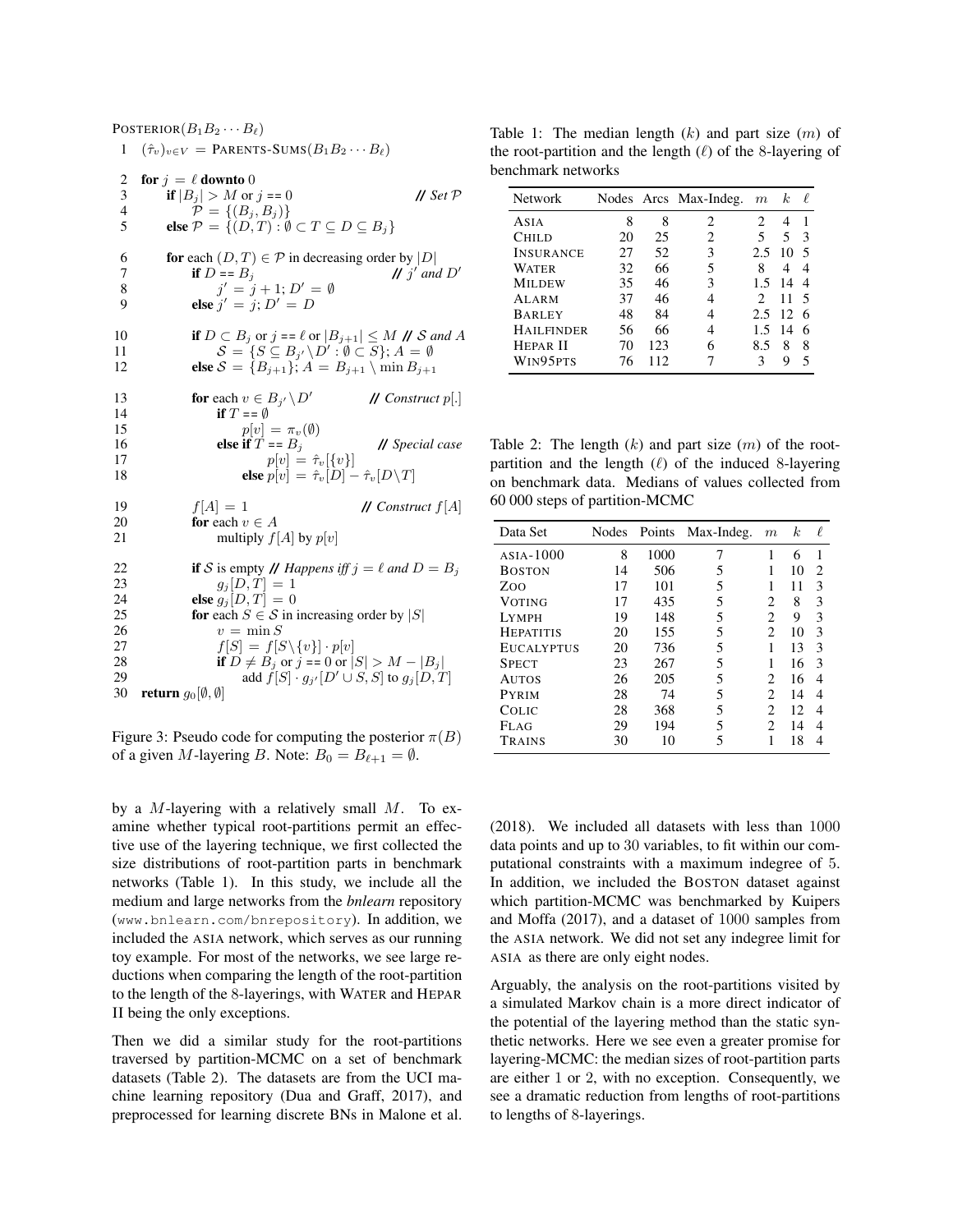POSTERIOR $(B_1B_2\cdots B_\ell)$  $( \hat{\tau}_v)_{v \in V} =$  PARENTS-SUMS $(B_1 B_2 \cdots B_\ell)$ 2 for  $j = \ell$  downto 0<br>3 if  $|B_j| > M$  or 3 if  $|B_j| > M$  or  $j == 0$  // *Set P*<br>4  $\mathcal{P} = \{(B_i, B_j)\}$ 4  $P = \{(B_j, B_j)\}$ <br>5 **else**  $P = \{(D, T) : \emptyset\}$ else  $\mathcal{P} = \{ (D, T) : \emptyset \subset T \subseteq D \subseteq B_i \}$ 6 **for** each  $(D, T) \in \mathcal{P}$  in decreasing order by  $|D|$ 7 **if**  $D = B_j$ <br>8  $j' = j$  $\int$  and  $D'$ 8  $j' = j + 1; D' = \emptyset$ 9 **else**  $j' = j; D' = D$ 10 if  $D \subset B_j$  or  $j = \ell$  or  $|B_{j+1}| \leq M$  **//** S and A 11  $S = \{ S \subseteq B_{j'} \setminus D' : \emptyset \subset S \}; A = \emptyset$ 12 **else**  $S = \{B_{j+1}\}\;$ ,  $A = B_{j+1} \setminus \min B_{j+1}$ 13 **for** each  $v \in B_{j'} \setminus D$ <sup>0</sup> **//** *Construct* p[.] 14 if  $T = \emptyset$ 15  $p[v] = \pi_v(\emptyset)$ 16 **else if**  $T = B_j$  **//** *Special case*  $p[v] = \hat{\tau}_v[\{v\}]$  $p[v] = \hat{\tau}_v[\{v\}]$ 18 **else**  $p[v] = \hat{\tau}_v[D] - \hat{\tau}_v[D\backslash T]$ 19  $f[A] = 1$  **//** *Construct*  $f[A]$ <br>20 **for** each  $v \in A$ for each  $v \in A$ 21 multiply  $f[A]$  by  $p[v]$ 22 if S is empty **//** *Happens iff*  $j = \ell$  *and*  $D = B_j$ <br>23  $q_i[D, T] = 1$  $g_j[D, T] = 1$ 24 **else**  $g_j[D, T] = 0$ <br>25 **for** each  $S \in \mathcal{S}$  in 25 **for each**  $S \in S$  in increasing order by |S| 26  $v = \min S$  $v = \min S$ 27  $f[S] = f[S \setminus \{v\}] \cdot p[v]$ 28 if  $D \neq B_j$  or  $j = 0$  or  $|S| > M - |B_j|$ 29 add  $\tilde{f}[S] \cdot g_{j'}[D' \cup S, S]$  to  $g_j[D, T]$ 30 return  $g_0[\emptyset, \emptyset]$ 

Figure 3: Pseudo code for computing the posterior  $\pi(B)$ of a given M-layering B. Note:  $B_0 = B_{\ell+1} = \emptyset$ .

by a M-layering with a relatively small  $M$ . To examine whether typical root-partitions permit an effective use of the layering technique, we first collected the size distributions of root-partition parts in benchmark networks (Table 1). In this study, we include all the medium and large networks from the *bnlearn* repository (www.bnlearn.com/bnrepository). In addition, we included the ASIA network, which serves as our running toy example. For most of the networks, we see large reductions when comparing the length of the root-partition to the length of the 8-layerings, with WATER and HEPAR II being the only exceptions.

Then we did a similar study for the root-partitions traversed by partition-MCMC on a set of benchmark datasets (Table 2). The datasets are from the UCI machine learning repository (Dua and Graff, 2017), and preprocessed for learning discrete BNs in Malone et al.

Table 1: The median length  $(k)$  and part size  $(m)$  of the root-partition and the length  $(\ell)$  of the 8-layering of benchmark networks

| <b>Network</b>    |    |     | Nodes Arcs Max-Indeg. | m   | $\kappa$ | ₽ |
|-------------------|----|-----|-----------------------|-----|----------|---|
| ASIA              | 8  | 8   | 2                     | 2   | 4        |   |
| <b>CHILD</b>      | 20 | 25  | 2                     | 5   | 5        | 3 |
| <b>INSURANCE</b>  | 27 | 52  | 3                     | 2.5 | 10       |   |
| WATER             | 32 | 66  | 5                     | 8   | 4        | 4 |
| <b>MILDEW</b>     | 35 | 46  | 3                     | 1.5 | 14       |   |
| <b>ALARM</b>      | 37 | 46  |                       | 2   | 11       |   |
| <b>BARLEY</b>     | 48 | 84  |                       | 2.5 | 12       |   |
| <b>HAILFINDER</b> | 56 | 66  |                       | 15  | 14       | 6 |
| <b>HEPAR II</b>   | 70 | 123 |                       | 8.5 | 8        | 8 |
| WIN95PTS          | 76 | 112 |                       | 3   | 9        | 5 |

Table 2: The length  $(k)$  and part size  $(m)$  of the rootpartition and the length  $(\ell)$  of the induced 8-layering on benchmark data. Medians of values collected from 60 000 steps of partition-MCMC

| Data Set          |    |      | Nodes Points Max-Indeg. | $\boldsymbol{m}$            | k. | ł. |
|-------------------|----|------|-------------------------|-----------------------------|----|----|
| $ASIA-1000$       | 8  | 1000 | 7                       | 1                           | 6  |    |
| <b>BOSTON</b>     | 14 | 506  | 5                       |                             | 10 | 2  |
| Zoo               | 17 | 101  | 5                       | 1                           | 11 | 3  |
| <b>VOTING</b>     | 17 | 435  | 5                       | $\mathfrak{D}$              | 8  | 3  |
| <b>LYMPH</b>      | 19 | 148  | 5                       | $\overline{c}$              | 9  | 3  |
| <b>HEPATITIS</b>  | 20 | 155  | 5                       | $\mathfrak{D}$              | 10 | 3  |
| <b>EUCALYPTUS</b> | 20 | 736  | 5                       | 1                           | 13 | 3  |
| <b>SPECT</b>      | 23 | 267  | 5                       | 1                           | 16 | 3  |
| <b>AUTOS</b>      | 26 | 205  | 5                       | $\mathfrak{D}$              | 16 | 4  |
| <b>PYRIM</b>      | 28 | 74   | 5                       | $\mathfrak{D}$              | 14 | 4  |
| COLIC             | 28 | 368  | 5                       | $\mathfrak{D}$              | 12 | 4  |
| <b>FLAG</b>       | 29 | 194  | 5                       | $\mathcal{D}_{\mathcal{A}}$ | 14 | 4  |
| TRAINS            | 30 | 10   | 5                       | 1                           | 18 |    |

(2018). We included all datasets with less than 1000 data points and up to 30 variables, to fit within our computational constraints with a maximum indegree of 5. In addition, we included the BOSTON dataset against which partition-MCMC was benchmarked by Kuipers and Moffa (2017), and a dataset of 1000 samples from the ASIA network. We did not set any indegree limit for ASIA as there are only eight nodes.

Arguably, the analysis on the root-partitions visited by a simulated Markov chain is a more direct indicator of the potential of the layering method than the static synthetic networks. Here we see even a greater promise for layering-MCMC: the median sizes of root-partition parts are either 1 or 2, with no exception. Consequently, we see a dramatic reduction from lengths of root-partitions to lengths of 8-layerings.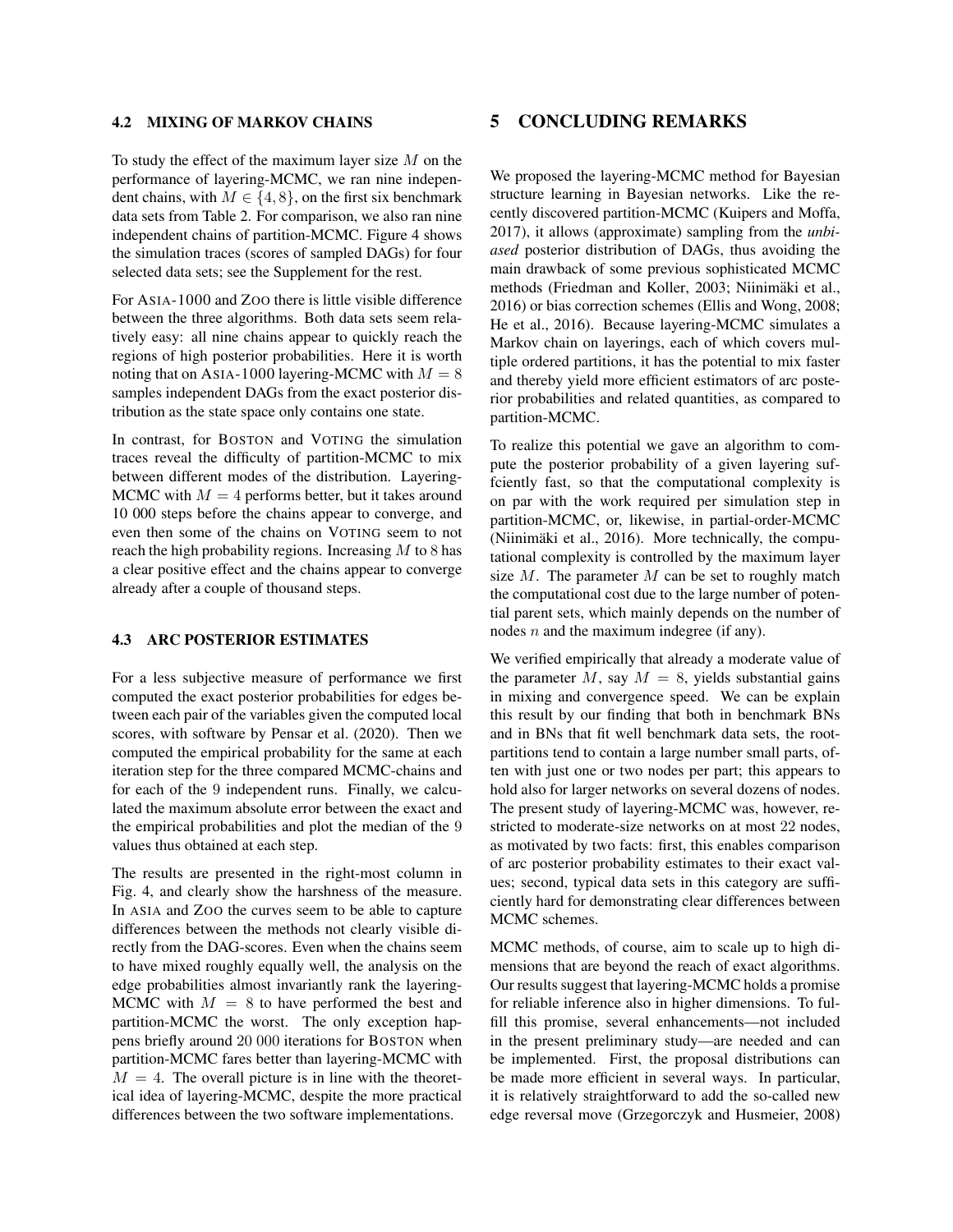#### 4.2 MIXING OF MARKOV CHAINS

To study the effect of the maximum layer size  $M$  on the performance of layering-MCMC, we ran nine independent chains, with  $M \in \{4, 8\}$ , on the first six benchmark data sets from Table 2. For comparison, we also ran nine independent chains of partition-MCMC. Figure 4 shows the simulation traces (scores of sampled DAGs) for four selected data sets; see the Supplement for the rest.

For ASIA-1000 and ZOO there is little visible difference between the three algorithms. Both data sets seem relatively easy: all nine chains appear to quickly reach the regions of high posterior probabilities. Here it is worth noting that on ASIA-1000 layering-MCMC with  $M = 8$ samples independent DAGs from the exact posterior distribution as the state space only contains one state.

In contrast, for BOSTON and VOTING the simulation traces reveal the difficulty of partition-MCMC to mix between different modes of the distribution. Layering-MCMC with  $M = 4$  performs better, but it takes around 10 000 steps before the chains appear to converge, and even then some of the chains on VOTING seem to not reach the high probability regions. Increasing  $M$  to 8 has a clear positive effect and the chains appear to converge already after a couple of thousand steps.

#### 4.3 ARC POSTERIOR ESTIMATES

For a less subjective measure of performance we first computed the exact posterior probabilities for edges between each pair of the variables given the computed local scores, with software by Pensar et al. (2020). Then we computed the empirical probability for the same at each iteration step for the three compared MCMC-chains and for each of the 9 independent runs. Finally, we calculated the maximum absolute error between the exact and the empirical probabilities and plot the median of the 9 values thus obtained at each step.

The results are presented in the right-most column in Fig. 4, and clearly show the harshness of the measure. In ASIA and ZOO the curves seem to be able to capture differences between the methods not clearly visible directly from the DAG-scores. Even when the chains seem to have mixed roughly equally well, the analysis on the edge probabilities almost invariantly rank the layering-MCMC with  $M = 8$  to have performed the best and partition-MCMC the worst. The only exception happens briefly around 20 000 iterations for BOSTON when partition-MCMC fares better than layering-MCMC with  $M = 4$ . The overall picture is in line with the theoretical idea of layering-MCMC, despite the more practical differences between the two software implementations.

# 5 CONCLUDING REMARKS

We proposed the layering-MCMC method for Bayesian structure learning in Bayesian networks. Like the recently discovered partition-MCMC (Kuipers and Moffa, 2017), it allows (approximate) sampling from the *unbiased* posterior distribution of DAGs, thus avoiding the main drawback of some previous sophisticated MCMC methods (Friedman and Koller, 2003; Niinimäki et al., 2016) or bias correction schemes (Ellis and Wong, 2008; He et al., 2016). Because layering-MCMC simulates a Markov chain on layerings, each of which covers multiple ordered partitions, it has the potential to mix faster and thereby yield more efficient estimators of arc posterior probabilities and related quantities, as compared to partition-MCMC.

To realize this potential we gave an algorithm to compute the posterior probability of a given layering suffciently fast, so that the computational complexity is on par with the work required per simulation step in partition-MCMC, or, likewise, in partial-order-MCMC (Niinimäki et al., 2016). More technically, the computational complexity is controlled by the maximum layer size  $M$ . The parameter  $M$  can be set to roughly match the computational cost due to the large number of potential parent sets, which mainly depends on the number of nodes  $n$  and the maximum indegree (if any).

We verified empirically that already a moderate value of the parameter M, say  $M = 8$ , yields substantial gains in mixing and convergence speed. We can be explain this result by our finding that both in benchmark BNs and in BNs that fit well benchmark data sets, the rootpartitions tend to contain a large number small parts, often with just one or two nodes per part; this appears to hold also for larger networks on several dozens of nodes. The present study of layering-MCMC was, however, restricted to moderate-size networks on at most 22 nodes, as motivated by two facts: first, this enables comparison of arc posterior probability estimates to their exact values; second, typical data sets in this category are sufficiently hard for demonstrating clear differences between MCMC schemes.

MCMC methods, of course, aim to scale up to high dimensions that are beyond the reach of exact algorithms. Our results suggest that layering-MCMC holds a promise for reliable inference also in higher dimensions. To fulfill this promise, several enhancements—not included in the present preliminary study—are needed and can be implemented. First, the proposal distributions can be made more efficient in several ways. In particular, it is relatively straightforward to add the so-called new edge reversal move (Grzegorczyk and Husmeier, 2008)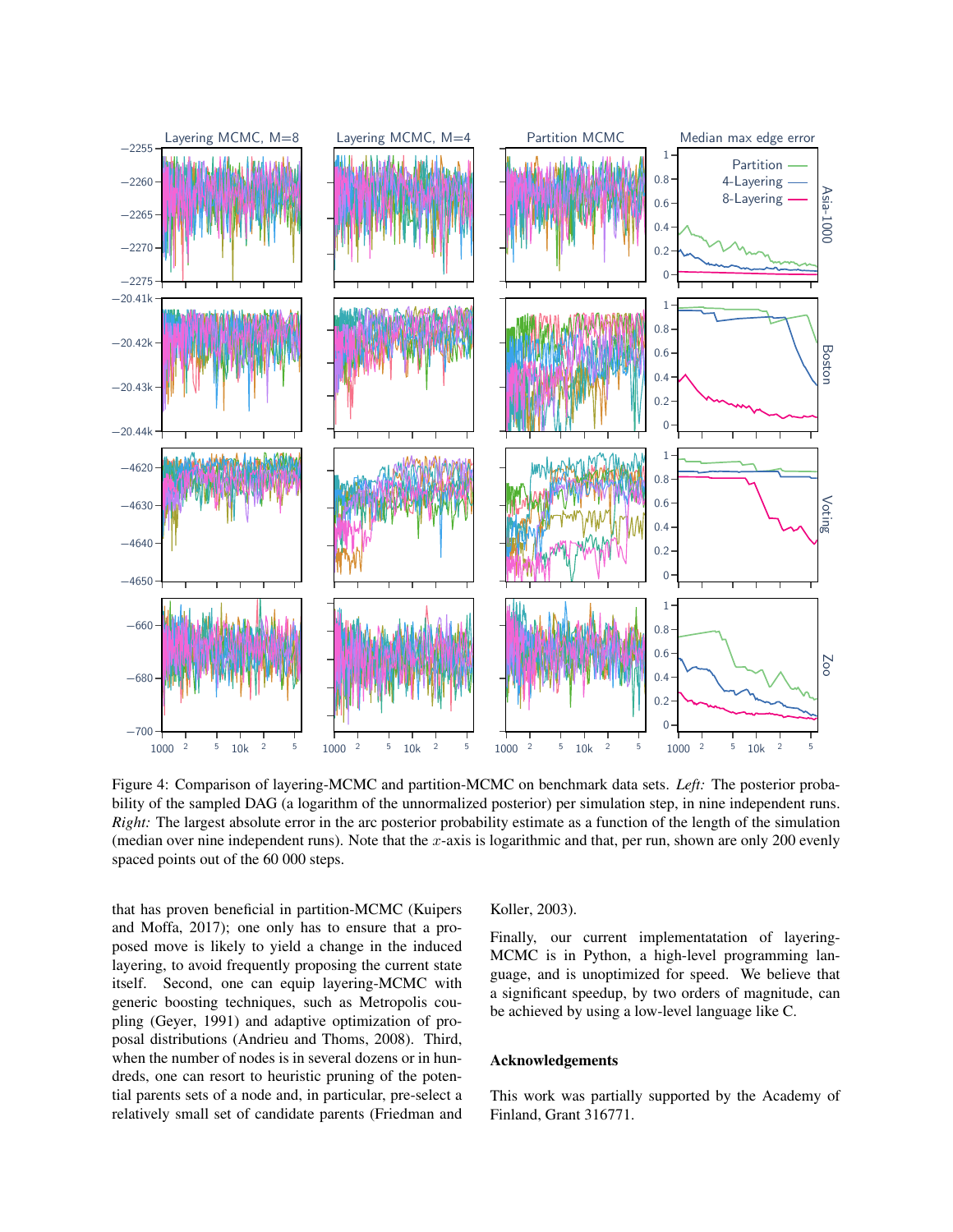

Figure 4: Comparison of layering-MCMC and partition-MCMC on benchmark data sets. *Left:* The posterior probability of the sampled DAG (a logarithm of the unnormalized posterior) per simulation step, in nine independent runs. *Right:* The largest absolute error in the arc posterior probability estimate as a function of the length of the simulation (median over nine independent runs). Note that the x-axis is logarithmic and that, per run, shown are only 200 evenly spaced points out of the 60 000 steps.

that has proven beneficial in partition-MCMC (Kuipers and Moffa, 2017); one only has to ensure that a proposed move is likely to yield a change in the induced layering, to avoid frequently proposing the current state itself. Second, one can equip layering-MCMC with generic boosting techniques, such as Metropolis coupling (Geyer, 1991) and adaptive optimization of proposal distributions (Andrieu and Thoms, 2008). Third, when the number of nodes is in several dozens or in hundreds, one can resort to heuristic pruning of the potential parents sets of a node and, in particular, pre-select a relatively small set of candidate parents (Friedman and

Koller, 2003).

Finally, our current implementatation of layering-MCMC is in Python, a high-level programming language, and is unoptimized for speed. We believe that a significant speedup, by two orders of magnitude, can be achieved by using a low-level language like C.

# Acknowledgements

This work was partially supported by the Academy of Finland, Grant 316771.